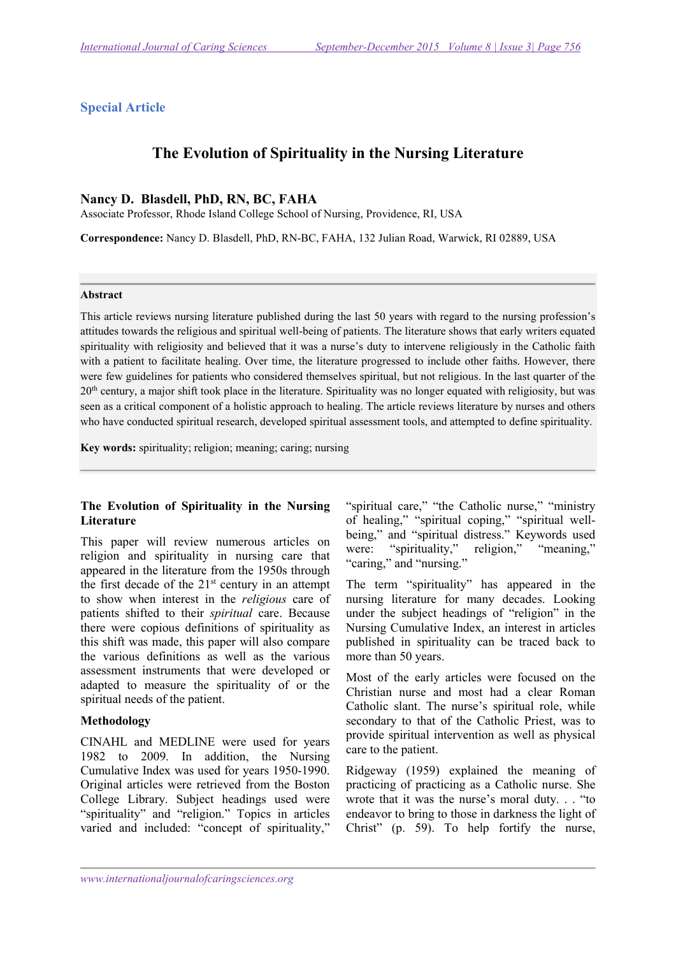## Special Article

# The Evolution of Spirituality in the Nursing Literature

### Nancy D. Blasdell, PhD, RN, BC, FAHA

Associate Professor, Rhode Island College School of Nursing, Providence, RI, USA

Correspondence: Nancy D. Blasdell, PhD, RN-BC, FAHA, 132 Julian Road, Warwick, RI 02889, USA

#### Abstract

This article reviews nursing literature published during the last 50 years with regard to the nursing profession's attitudes towards the religious and spiritual well-being of patients. The literature shows that early writers equated spirituality with religiosity and believed that it was a nurse's duty to intervene religiously in the Catholic faith with a patient to facilitate healing. Over time, the literature progressed to include other faiths. However, there were few guidelines for patients who considered themselves spiritual, but not religious. In the last quarter of the 20<sup>th</sup> century, a major shift took place in the literature. Spirituality was no longer equated with religiosity, but was seen as a critical component of a holistic approach to healing. The article reviews literature by nurses and others who have conducted spiritual research, developed spiritual assessment tools, and attempted to define spirituality.

Key words: spirituality; religion; meaning; caring; nursing

## The Evolution of Spirituality in the Nursing **Literature**

This paper will review numerous articles on religion and spirituality in nursing care that appeared in the literature from the 1950s through the first decade of the  $21<sup>st</sup>$  century in an attempt to show when interest in the religious care of patients shifted to their spiritual care. Because there were copious definitions of spirituality as this shift was made, this paper will also compare the various definitions as well as the various assessment instruments that were developed or adapted to measure the spirituality of or the spiritual needs of the patient.

### Methodology

CINAHL and MEDLINE were used for years 1982 to 2009. In addition, the Nursing Cumulative Index was used for years 1950-1990. Original articles were retrieved from the Boston College Library. Subject headings used were "spirituality" and "religion." Topics in articles varied and included: "concept of spirituality,"

"spiritual care," "the Catholic nurse," "ministry of healing," "spiritual coping," "spiritual wellbeing," and "spiritual distress." Keywords used were: "spirituality," religion," "meaning," "caring," and "nursing."

The term "spirituality" has appeared in the nursing literature for many decades. Looking under the subject headings of "religion" in the Nursing Cumulative Index, an interest in articles published in spirituality can be traced back to more than 50 years.

Most of the early articles were focused on the Christian nurse and most had a clear Roman Catholic slant. The nurse's spiritual role, while secondary to that of the Catholic Priest, was to provide spiritual intervention as well as physical care to the patient.

Ridgeway (1959) explained the meaning of practicing of practicing as a Catholic nurse. She wrote that it was the nurse's moral duty. . . "to endeavor to bring to those in darkness the light of Christ" (p. 59). To help fortify the nurse,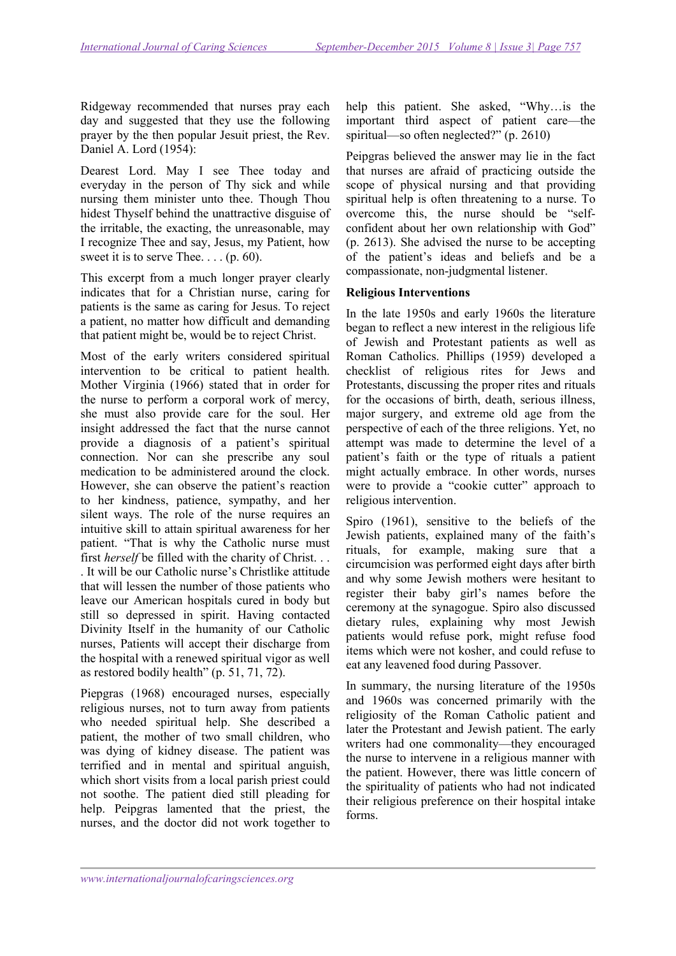Ridgeway recommended that nurses pray each day and suggested that they use the following prayer by the then popular Jesuit priest, the Rev. Daniel A. Lord (1954):

Dearest Lord. May I see Thee today and everyday in the person of Thy sick and while nursing them minister unto thee. Though Thou hidest Thyself behind the unattractive disguise of the irritable, the exacting, the unreasonable, may I recognize Thee and say, Jesus, my Patient, how sweet it is to serve Thee....  $(p. 60)$ .

This excerpt from a much longer prayer clearly indicates that for a Christian nurse, caring for patients is the same as caring for Jesus. To reject a patient, no matter how difficult and demanding that patient might be, would be to reject Christ.

Most of the early writers considered spiritual intervention to be critical to patient health. Mother Virginia (1966) stated that in order for the nurse to perform a corporal work of mercy, she must also provide care for the soul. Her insight addressed the fact that the nurse cannot provide a diagnosis of a patient's spiritual connection. Nor can she prescribe any soul medication to be administered around the clock. However, she can observe the patient's reaction to her kindness, patience, sympathy, and her silent ways. The role of the nurse requires an intuitive skill to attain spiritual awareness for her patient. "That is why the Catholic nurse must first herself be filled with the charity of Christ. . . . It will be our Catholic nurse's Christlike attitude that will lessen the number of those patients who leave our American hospitals cured in body but still so depressed in spirit. Having contacted Divinity Itself in the humanity of our Catholic nurses, Patients will accept their discharge from the hospital with a renewed spiritual vigor as well as restored bodily health" (p. 51, 71, 72).

Piepgras (1968) encouraged nurses, especially religious nurses, not to turn away from patients who needed spiritual help. She described a patient, the mother of two small children, who was dying of kidney disease. The patient was terrified and in mental and spiritual anguish, which short visits from a local parish priest could not soothe. The patient died still pleading for help. Peipgras lamented that the priest, the nurses, and the doctor did not work together to

help this patient. She asked, "Why…is the important third aspect of patient care—the spiritual—so often neglected?" (p. 2610)

Peipgras believed the answer may lie in the fact that nurses are afraid of practicing outside the scope of physical nursing and that providing spiritual help is often threatening to a nurse. To overcome this, the nurse should be "selfconfident about her own relationship with God" (p. 2613). She advised the nurse to be accepting of the patient's ideas and beliefs and be a compassionate, non-judgmental listener.

## Religious Interventions

In the late 1950s and early 1960s the literature began to reflect a new interest in the religious life of Jewish and Protestant patients as well as Roman Catholics. Phillips (1959) developed a checklist of religious rites for Jews and Protestants, discussing the proper rites and rituals for the occasions of birth, death, serious illness, major surgery, and extreme old age from the perspective of each of the three religions. Yet, no attempt was made to determine the level of a patient's faith or the type of rituals a patient might actually embrace. In other words, nurses were to provide a "cookie cutter" approach to religious intervention.

Spiro (1961), sensitive to the beliefs of the Jewish patients, explained many of the faith's rituals, for example, making sure that a circumcision was performed eight days after birth and why some Jewish mothers were hesitant to register their baby girl's names before the ceremony at the synagogue. Spiro also discussed dietary rules, explaining why most Jewish patients would refuse pork, might refuse food items which were not kosher, and could refuse to eat any leavened food during Passover.

In summary, the nursing literature of the 1950s and 1960s was concerned primarily with the religiosity of the Roman Catholic patient and later the Protestant and Jewish patient. The early writers had one commonality—they encouraged the nurse to intervene in a religious manner with the patient. However, there was little concern of the spirituality of patients who had not indicated their religious preference on their hospital intake forms.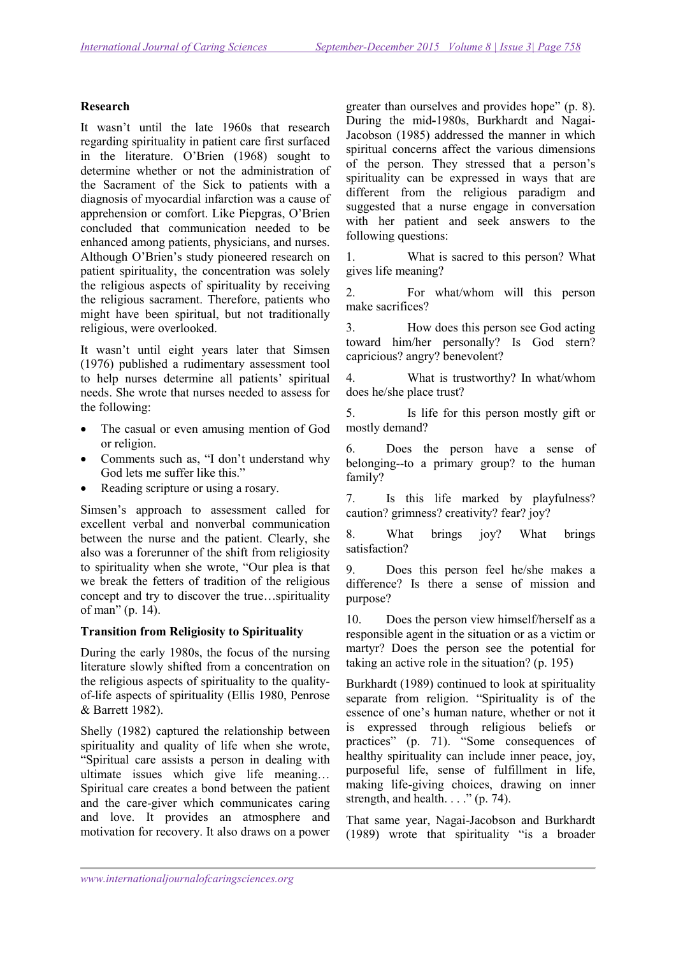### Research

It wasn't until the late 1960s that research regarding spirituality in patient care first surfaced in the literature. O'Brien (1968) sought to determine whether or not the administration of the Sacrament of the Sick to patients with a diagnosis of myocardial infarction was a cause of apprehension or comfort. Like Piepgras, O'Brien concluded that communication needed to be enhanced among patients, physicians, and nurses. Although O'Brien's study pioneered research on patient spirituality, the concentration was solely the religious aspects of spirituality by receiving the religious sacrament. Therefore, patients who might have been spiritual, but not traditionally religious, were overlooked.

It wasn't until eight years later that Simsen (1976) published a rudimentary assessment tool to help nurses determine all patients' spiritual needs. She wrote that nurses needed to assess for the following:

- The casual or even amusing mention of God or religion.
- Comments such as, "I don't understand why God lets me suffer like this."
- Reading scripture or using a rosary.

Simsen's approach to assessment called for excellent verbal and nonverbal communication between the nurse and the patient. Clearly, she also was a forerunner of the shift from religiosity to spirituality when she wrote, "Our plea is that we break the fetters of tradition of the religious concept and try to discover the true…spirituality of man" (p. 14).

### Transition from Religiosity to Spirituality

During the early 1980s, the focus of the nursing literature slowly shifted from a concentration on the religious aspects of spirituality to the qualityof-life aspects of spirituality (Ellis 1980, Penrose & Barrett 1982).

Shelly (1982) captured the relationship between spirituality and quality of life when she wrote, "Spiritual care assists a person in dealing with ultimate issues which give life meaning… Spiritual care creates a bond between the patient and the care-giver which communicates caring and love. It provides an atmosphere and motivation for recovery. It also draws on a power

greater than ourselves and provides hope" (p. 8). During the mid-1980s, Burkhardt and Nagai-Jacobson (1985) addressed the manner in which spiritual concerns affect the various dimensions of the person. They stressed that a person's spirituality can be expressed in ways that are different from the religious paradigm and suggested that a nurse engage in conversation with her patient and seek answers to the following questions:

1. What is sacred to this person? What gives life meaning?

2. For what/whom will this person make sacrifices?

3. How does this person see God acting toward him/her personally? Is God stern? capricious? angry? benevolent?

4. What is trustworthy? In what/whom does he/she place trust?

5. Is life for this person mostly gift or mostly demand?

6. Does the person have a sense of belonging--to a primary group? to the human family?

7. Is this life marked by playfulness? caution? grimness? creativity? fear? joy?

8. What brings joy? What brings satisfaction?

9. Does this person feel he/she makes a difference? Is there a sense of mission and purpose?

10. Does the person view himself/herself as a responsible agent in the situation or as a victim or martyr? Does the person see the potential for taking an active role in the situation? (p. 195)

Burkhardt (1989) continued to look at spirituality separate from religion. "Spirituality is of the essence of one's human nature, whether or not it is expressed through religious beliefs or practices" (p. 71). "Some consequences of healthy spirituality can include inner peace, joy, purposeful life, sense of fulfillment in life, making life-giving choices, drawing on inner strength, and health.  $\ldots$  " (p. 74).

That same year, Nagai-Jacobson and Burkhardt (1989) wrote that spirituality "is a broader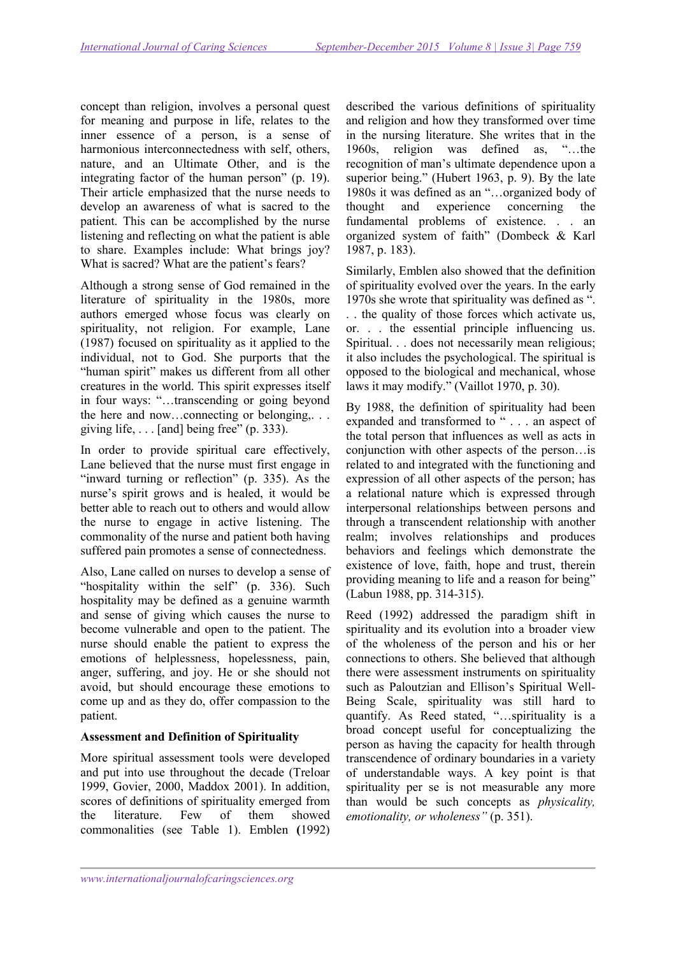concept than religion, involves a personal quest for meaning and purpose in life, relates to the inner essence of a person, is a sense of harmonious interconnectedness with self, others, nature, and an Ultimate Other, and is the integrating factor of the human person" (p. 19). Their article emphasized that the nurse needs to develop an awareness of what is sacred to the patient. This can be accomplished by the nurse listening and reflecting on what the patient is able to share. Examples include: What brings joy? What is sacred? What are the patient's fears?

Although a strong sense of God remained in the literature of spirituality in the 1980s, more authors emerged whose focus was clearly on spirituality, not religion. For example, Lane (1987) focused on spirituality as it applied to the individual, not to God. She purports that the "human spirit" makes us different from all other creatures in the world. This spirit expresses itself in four ways: "…transcending or going beyond the here and now…connecting or belonging,. . . giving life,  $\ldots$  [and] being free" (p. 333).

In order to provide spiritual care effectively, Lane believed that the nurse must first engage in "inward turning or reflection" (p. 335). As the nurse's spirit grows and is healed, it would be better able to reach out to others and would allow the nurse to engage in active listening. The commonality of the nurse and patient both having suffered pain promotes a sense of connectedness.

Also, Lane called on nurses to develop a sense of "hospitality within the self" (p. 336). Such hospitality may be defined as a genuine warmth and sense of giving which causes the nurse to become vulnerable and open to the patient. The nurse should enable the patient to express the emotions of helplessness, hopelessness, pain, anger, suffering, and joy. He or she should not avoid, but should encourage these emotions to come up and as they do, offer compassion to the patient.

## Assessment and Definition of Spirituality

More spiritual assessment tools were developed and put into use throughout the decade (Treloar 1999, Govier, 2000, Maddox 2001). In addition, scores of definitions of spirituality emerged from the literature. Few of them showed commonalities (see Table 1). Emblen (1992)

described the various definitions of spirituality and religion and how they transformed over time in the nursing literature. She writes that in the 1960s, religion was defined as, "…the recognition of man's ultimate dependence upon a superior being." (Hubert 1963, p. 9). By the late 1980s it was defined as an "…organized body of thought and experience concerning the fundamental problems of existence. . . an organized system of faith" (Dombeck & Karl 1987, p. 183).

Similarly, Emblen also showed that the definition of spirituality evolved over the years. In the early 1970s she wrote that spirituality was defined as ". . . the quality of those forces which activate us, or. . . the essential principle influencing us. Spiritual. . . does not necessarily mean religious; it also includes the psychological. The spiritual is opposed to the biological and mechanical, whose laws it may modify." (Vaillot 1970, p. 30).

By 1988, the definition of spirituality had been expanded and transformed to " . . . an aspect of the total person that influences as well as acts in conjunction with other aspects of the person…is related to and integrated with the functioning and expression of all other aspects of the person; has a relational nature which is expressed through interpersonal relationships between persons and through a transcendent relationship with another realm; involves relationships and produces behaviors and feelings which demonstrate the existence of love, faith, hope and trust, therein providing meaning to life and a reason for being" (Labun 1988, pp. 314-315).

Reed (1992) addressed the paradigm shift in spirituality and its evolution into a broader view of the wholeness of the person and his or her connections to others. She believed that although there were assessment instruments on spirituality such as Paloutzian and Ellison's Spiritual Well-Being Scale, spirituality was still hard to quantify. As Reed stated, "…spirituality is a broad concept useful for conceptualizing the person as having the capacity for health through transcendence of ordinary boundaries in a variety of understandable ways. A key point is that spirituality per se is not measurable any more than would be such concepts as physicality, emotionality, or wholeness" (p. 351).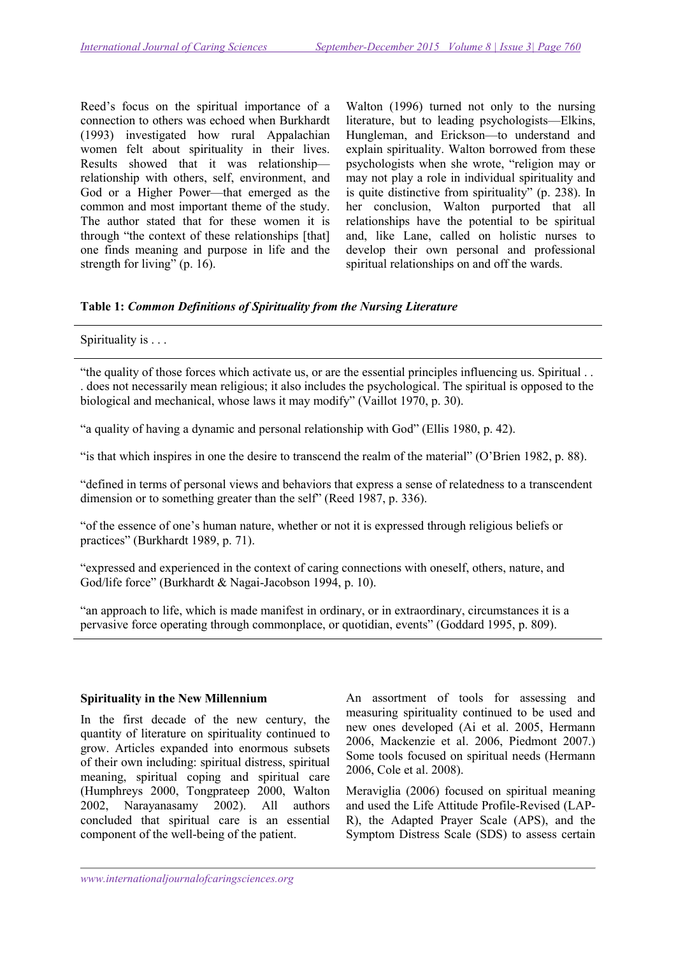Reed's focus on the spiritual importance of a connection to others was echoed when Burkhardt (1993) investigated how rural Appalachian women felt about spirituality in their lives. Results showed that it was relationship relationship with others, self, environment, and God or a Higher Power—that emerged as the common and most important theme of the study. The author stated that for these women it is through "the context of these relationships [that] one finds meaning and purpose in life and the strength for living" (p. 16).

Walton (1996) turned not only to the nursing literature, but to leading psychologists—Elkins, Hungleman, and Erickson—to understand and explain spirituality. Walton borrowed from these psychologists when she wrote, "religion may or may not play a role in individual spirituality and is quite distinctive from spirituality" (p. 238). In her conclusion, Walton purported that all relationships have the potential to be spiritual and, like Lane, called on holistic nurses to develop their own personal and professional spiritual relationships on and off the wards.

## Table 1: Common Definitions of Spirituality from the Nursing Literature

### Spirituality is . . .

"the quality of those forces which activate us, or are the essential principles influencing us. Spiritual . . . does not necessarily mean religious; it also includes the psychological. The spiritual is opposed to the biological and mechanical, whose laws it may modify" (Vaillot 1970, p. 30).

"a quality of having a dynamic and personal relationship with God" (Ellis 1980, p. 42).

"is that which inspires in one the desire to transcend the realm of the material" (O'Brien 1982, p. 88).

"defined in terms of personal views and behaviors that express a sense of relatedness to a transcendent dimension or to something greater than the self" (Reed 1987, p. 336).

"of the essence of one's human nature, whether or not it is expressed through religious beliefs or practices" (Burkhardt 1989, p. 71).

"expressed and experienced in the context of caring connections with oneself, others, nature, and God/life force" (Burkhardt & Nagai-Jacobson 1994, p. 10).

"an approach to life, which is made manifest in ordinary, or in extraordinary, circumstances it is a pervasive force operating through commonplace, or quotidian, events" (Goddard 1995, p. 809).

#### Spirituality in the New Millennium

In the first decade of the new century, the quantity of literature on spirituality continued to grow. Articles expanded into enormous subsets of their own including: spiritual distress, spiritual meaning, spiritual coping and spiritual care (Humphreys 2000, Tongprateep 2000, Walton 2002, Narayanasamy 2002). All authors concluded that spiritual care is an essential component of the well-being of the patient.

An assortment of tools for assessing and measuring spirituality continued to be used and new ones developed (Ai et al. 2005, Hermann 2006, Mackenzie et al. 2006, Piedmont 2007.) Some tools focused on spiritual needs (Hermann 2006, Cole et al. 2008).

Meraviglia (2006) focused on spiritual meaning and used the Life Attitude Profile-Revised (LAP-R), the Adapted Prayer Scale (APS), and the Symptom Distress Scale (SDS) to assess certain

www.internationaljournalofcaringsciences.org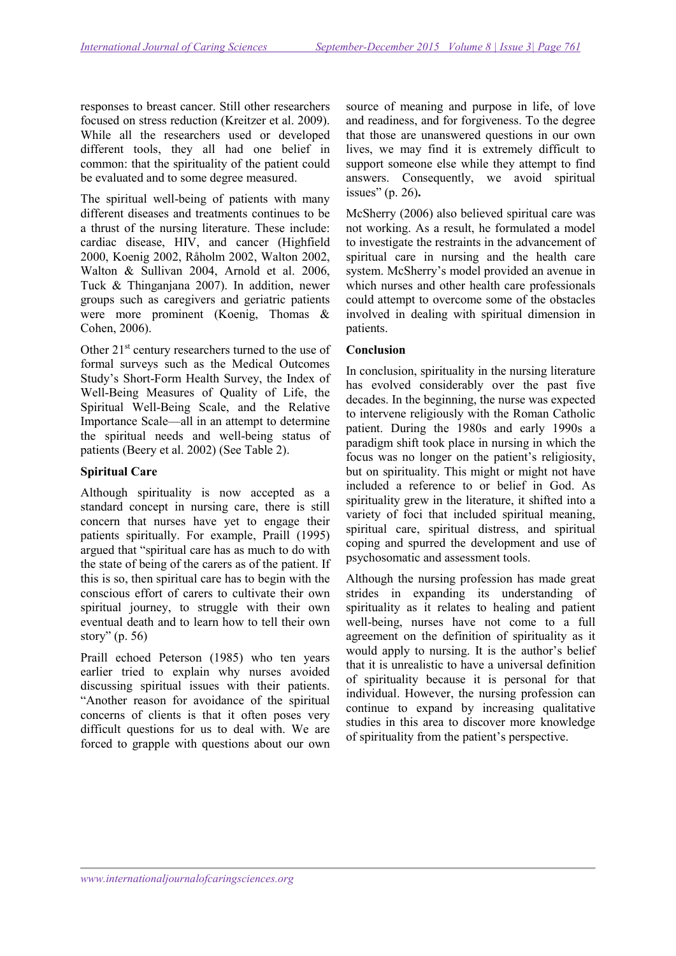responses to breast cancer. Still other researchers focused on stress reduction (Kreitzer et al. 2009). While all the researchers used or developed different tools, they all had one belief in common: that the spirituality of the patient could be evaluated and to some degree measured.

The spiritual well-being of patients with many different diseases and treatments continues to be a thrust of the nursing literature. These include: cardiac disease, HIV, and cancer (Highfield 2000, Koenig 2002, Råholm 2002, Walton 2002, Walton & Sullivan 2004, Arnold et al. 2006, Tuck & Thinganjana 2007). In addition, newer groups such as caregivers and geriatric patients were more prominent (Koenig, Thomas & Cohen, 2006).

Other 21<sup>st</sup> century researchers turned to the use of formal surveys such as the Medical Outcomes Study's Short-Form Health Survey, the Index of Well-Being Measures of Quality of Life, the Spiritual Well-Being Scale, and the Relative Importance Scale—all in an attempt to determine the spiritual needs and well-being status of patients (Beery et al. 2002) (See Table 2).

## Spiritual Care

Although spirituality is now accepted as a standard concept in nursing care, there is still concern that nurses have yet to engage their patients spiritually. For example, Praill (1995) argued that "spiritual care has as much to do with the state of being of the carers as of the patient. If this is so, then spiritual care has to begin with the conscious effort of carers to cultivate their own spiritual journey, to struggle with their own eventual death and to learn how to tell their own story" (p. 56)

Praill echoed Peterson (1985) who ten years earlier tried to explain why nurses avoided discussing spiritual issues with their patients. "Another reason for avoidance of the spiritual concerns of clients is that it often poses very difficult questions for us to deal with. We are forced to grapple with questions about our own

source of meaning and purpose in life, of love and readiness, and for forgiveness. To the degree that those are unanswered questions in our own lives, we may find it is extremely difficult to support someone else while they attempt to find answers. Consequently, we avoid spiritual issues" (p. 26).

McSherry (2006) also believed spiritual care was not working. As a result, he formulated a model to investigate the restraints in the advancement of spiritual care in nursing and the health care system. McSherry's model provided an avenue in which nurses and other health care professionals could attempt to overcome some of the obstacles involved in dealing with spiritual dimension in patients.

## Conclusion

In conclusion, spirituality in the nursing literature has evolved considerably over the past five decades. In the beginning, the nurse was expected to intervene religiously with the Roman Catholic patient. During the 1980s and early 1990s a paradigm shift took place in nursing in which the focus was no longer on the patient's religiosity, but on spirituality. This might or might not have included a reference to or belief in God. As spirituality grew in the literature, it shifted into a variety of foci that included spiritual meaning, spiritual care, spiritual distress, and spiritual coping and spurred the development and use of psychosomatic and assessment tools.

Although the nursing profession has made great strides in expanding its understanding of spirituality as it relates to healing and patient well-being, nurses have not come to a full agreement on the definition of spirituality as it would apply to nursing. It is the author's belief that it is unrealistic to have a universal definition of spirituality because it is personal for that individual. However, the nursing profession can continue to expand by increasing qualitative studies in this area to discover more knowledge of spirituality from the patient's perspective.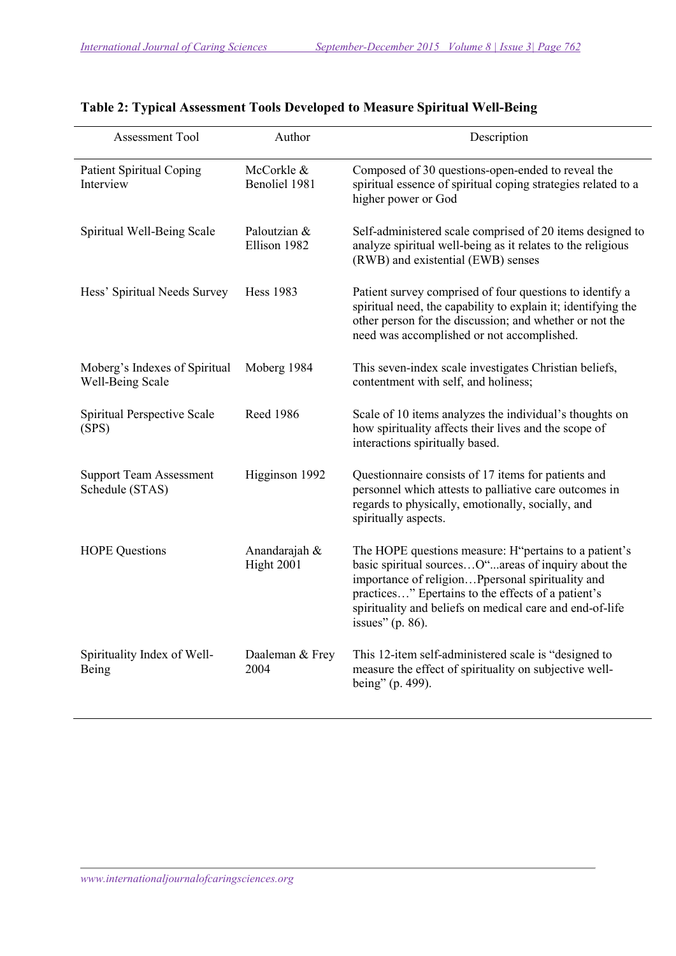| Assessment Tool                                   | Author                       | Description                                                                                                                                                                                                                                                                                            |
|---------------------------------------------------|------------------------------|--------------------------------------------------------------------------------------------------------------------------------------------------------------------------------------------------------------------------------------------------------------------------------------------------------|
| <b>Patient Spiritual Coping</b><br>Interview      | McCorkle &<br>Benoliel 1981  | Composed of 30 questions-open-ended to reveal the<br>spiritual essence of spiritual coping strategies related to a<br>higher power or God                                                                                                                                                              |
| Spiritual Well-Being Scale                        | Paloutzian &<br>Ellison 1982 | Self-administered scale comprised of 20 items designed to<br>analyze spiritual well-being as it relates to the religious<br>(RWB) and existential (EWB) senses                                                                                                                                         |
| Hess' Spiritual Needs Survey                      | <b>Hess 1983</b>             | Patient survey comprised of four questions to identify a<br>spiritual need, the capability to explain it; identifying the<br>other person for the discussion; and whether or not the<br>need was accomplished or not accomplished.                                                                     |
| Moberg's Indexes of Spiritual<br>Well-Being Scale | Moberg 1984                  | This seven-index scale investigates Christian beliefs,<br>contentment with self, and holiness;                                                                                                                                                                                                         |
| Spiritual Perspective Scale<br>(SPS)              | <b>Reed 1986</b>             | Scale of 10 items analyzes the individual's thoughts on<br>how spirituality affects their lives and the scope of<br>interactions spiritually based.                                                                                                                                                    |
| <b>Support Team Assessment</b><br>Schedule (STAS) | Higginson 1992               | Questionnaire consists of 17 items for patients and<br>personnel which attests to palliative care outcomes in<br>regards to physically, emotionally, socially, and<br>spiritually aspects.                                                                                                             |
| <b>HOPE</b> Questions                             | Anandarajah &<br>Hight 2001  | The HOPE questions measure: H"pertains to a patient's<br>basic spiritual sourcesO"areas of inquiry about the<br>importance of religionPpersonal spirituality and<br>practices" Epertains to the effects of a patient's<br>spirituality and beliefs on medical care and end-of-life<br>issues" (p. 86). |
| Spirituality Index of Well-<br>Being              | Daaleman & Frey<br>2004      | This 12-item self-administered scale is "designed to<br>measure the effect of spirituality on subjective well-<br>being" (p. 499).                                                                                                                                                                     |

# Table 2: Typical Assessment Tools Developed to Measure Spiritual Well-Being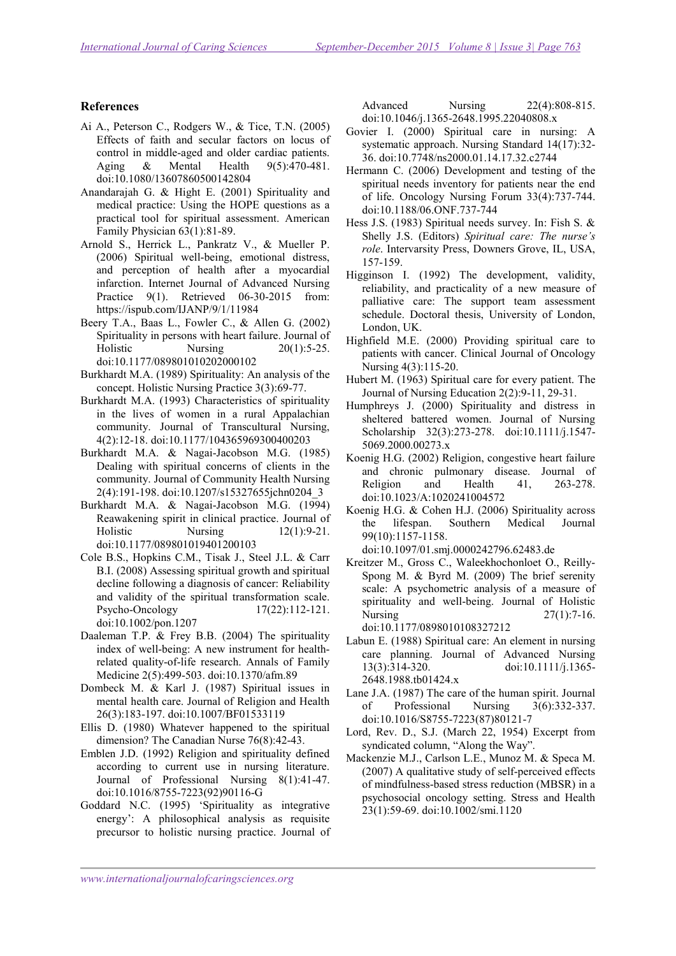### References

- Ai A., Peterson C., Rodgers W., & Tice, T.N. (2005) Effects of faith and secular factors on locus of control in middle-aged and older cardiac patients. Aging & Mental Health 9(5):470-481. doi:10.1080/13607860500142804
- Anandarajah G. & Hight E. (2001) Spirituality and medical practice: Using the HOPE questions as a practical tool for spiritual assessment. American Family Physician 63(1):81-89.
- Arnold S., Herrick L., Pankratz V., & Mueller P. (2006) Spiritual well-being, emotional distress, and perception of health after a myocardial infarction. Internet Journal of Advanced Nursing Practice 9(1). Retrieved 06-30-2015 from: https://ispub.com/IJANP/9/1/11984
- Beery T.A., Baas L., Fowler C., & Allen G. (2002) Spirituality in persons with heart failure. Journal of Holistic Nursing 20(1):5-25. doi:10.1177/089801010202000102
- Burkhardt M.A. (1989) Spirituality: An analysis of the concept. Holistic Nursing Practice 3(3):69-77.
- Burkhardt M.A. (1993) Characteristics of spirituality in the lives of women in a rural Appalachian community. Journal of Transcultural Nursing, 4(2):12-18. doi:10.1177/104365969300400203
- Burkhardt M.A. & Nagai-Jacobson M.G. (1985) Dealing with spiritual concerns of clients in the community. Journal of Community Health Nursing 2(4):191-198. doi:10.1207/s15327655jchn0204\_3
- Burkhardt M.A. & Nagai-Jacobson M.G. (1994) Reawakening spirit in clinical practice. Journal of Holistic Nursing  $12(1):9-21$ . doi:10.1177/089801019401200103
- Cole B.S., Hopkins C.M., Tisak J., Steel J.L. & Carr B.I. (2008) Assessing spiritual growth and spiritual decline following a diagnosis of cancer: Reliability and validity of the spiritual transformation scale. Psycho-Oncology 17(22):112-121. doi:10.1002/pon.1207
- Daaleman T.P. & Frey B.B. (2004) The spirituality index of well-being: A new instrument for healthrelated quality-of-life research. Annals of Family Medicine 2(5):499-503. doi:10.1370/afm.89
- Dombeck M. & Karl J. (1987) Spiritual issues in mental health care. Journal of Religion and Health 26(3):183-197. doi:10.1007/BF01533119
- Ellis D. (1980) Whatever happened to the spiritual dimension? The Canadian Nurse 76(8):42-43.
- Emblen J.D. (1992) Religion and spirituality defined according to current use in nursing literature. Journal of Professional Nursing 8(1):41-47. doi:10.1016/8755-7223(92)90116-G
- Goddard N.C. (1995) 'Spirituality as integrative energy': A philosophical analysis as requisite precursor to holistic nursing practice. Journal of

Advanced Nursing 22(4):808-815. doi:10.1046/j.1365-2648.1995.22040808.x

- Govier I. (2000) Spiritual care in nursing: A systematic approach. Nursing Standard 14(17):32- 36. doi:10.7748/ns2000.01.14.17.32.c2744
- Hermann C. (2006) Development and testing of the spiritual needs inventory for patients near the end of life. Oncology Nursing Forum 33(4):737-744. doi:10.1188/06.ONF.737-744
- Hess J.S. (1983) Spiritual needs survey. In: Fish S. & Shelly J.S. (Editors) Spiritual care: The nurse's role. Intervarsity Press, Downers Grove, IL, USA, 157-159.
- Higginson I. (1992) The development, validity, reliability, and practicality of a new measure of palliative care: The support team assessment schedule. Doctoral thesis, University of London, London, UK.
- Highfield M.E. (2000) Providing spiritual care to patients with cancer. Clinical Journal of Oncology Nursing 4(3):115-20.
- Hubert M. (1963) Spiritual care for every patient. The Journal of Nursing Education 2(2):9-11, 29-31.
- Humphreys J. (2000) Spirituality and distress in sheltered battered women. Journal of Nursing Scholarship 32(3):273-278. doi:10.1111/j.1547- 5069.2000.00273.x
- Koenig H.G. (2002) Religion, congestive heart failure and chronic pulmonary disease. Journal of Religion and Health 41, 263-278. doi:10.1023/A:1020241004572
- Koenig H.G. & Cohen H.J. (2006) Spirituality across the lifespan. Southern Medical Journal 99(10):1157-1158.

doi:10.1097/01.smj.0000242796.62483.de

- Kreitzer M., Gross C., Waleekhochonloet O., Reilly-Spong M. & Byrd M. (2009) The brief serenity scale: A psychometric analysis of a measure of spirituality and well-being. Journal of Holistic Nursing 27(1):7-16. doi:10.1177/0898010108327212
- Labun E. (1988) Spiritual care: An element in nursing care planning. Journal of Advanced Nursing 13(3):314-320. doi:10.1111/j.1365- 2648.1988.tb01424.x
- Lane J.A. (1987) The care of the human spirit. Journal of Professional Nursing 3(6):332-337. doi:10.1016/S8755-7223(87)80121-7
- Lord, Rev. D., S.J. (March 22, 1954) Excerpt from syndicated column, "Along the Way".
- Mackenzie M.J., Carlson L.E., Munoz M. & Speca M. (2007) A qualitative study of self-perceived effects of mindfulness-based stress reduction (MBSR) in a psychosocial oncology setting. Stress and Health 23(1):59-69. doi:10.1002/smi.1120

www.internationaljournalofcaringsciences.org